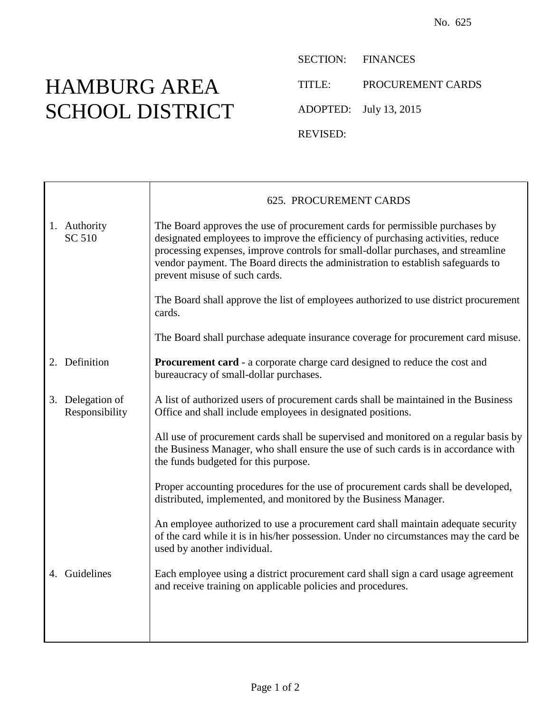## HAMBURG AREA SCHOOL DISTRICT

SECTION: FINANCES TITLE: PROCUREMENT CARDS ADOPTED: July 13, 2015 REVISED:

|                                    | 625. PROCUREMENT CARDS                                                                                                                                                                                                                                                                                                                                                  |
|------------------------------------|-------------------------------------------------------------------------------------------------------------------------------------------------------------------------------------------------------------------------------------------------------------------------------------------------------------------------------------------------------------------------|
| 1. Authority<br>SC 510             | The Board approves the use of procurement cards for permissible purchases by<br>designated employees to improve the efficiency of purchasing activities, reduce<br>processing expenses, improve controls for small-dollar purchases, and streamline<br>vendor payment. The Board directs the administration to establish safeguards to<br>prevent misuse of such cards. |
|                                    | The Board shall approve the list of employees authorized to use district procurement<br>cards.                                                                                                                                                                                                                                                                          |
|                                    | The Board shall purchase adequate insurance coverage for procurement card misuse.                                                                                                                                                                                                                                                                                       |
| 2. Definition                      | <b>Procurement card</b> - a corporate charge card designed to reduce the cost and<br>bureaucracy of small-dollar purchases.                                                                                                                                                                                                                                             |
| 3. Delegation of<br>Responsibility | A list of authorized users of procurement cards shall be maintained in the Business<br>Office and shall include employees in designated positions.                                                                                                                                                                                                                      |
|                                    | All use of procurement cards shall be supervised and monitored on a regular basis by<br>the Business Manager, who shall ensure the use of such cards is in accordance with<br>the funds budgeted for this purpose.                                                                                                                                                      |
|                                    | Proper accounting procedures for the use of procurement cards shall be developed,<br>distributed, implemented, and monitored by the Business Manager.                                                                                                                                                                                                                   |
|                                    | An employee authorized to use a procurement card shall maintain adequate security<br>of the card while it is in his/her possession. Under no circumstances may the card be<br>used by another individual.                                                                                                                                                               |
| 4. Guidelines                      | Each employee using a district procurement card shall sign a card usage agreement<br>and receive training on applicable policies and procedures.                                                                                                                                                                                                                        |
|                                    |                                                                                                                                                                                                                                                                                                                                                                         |